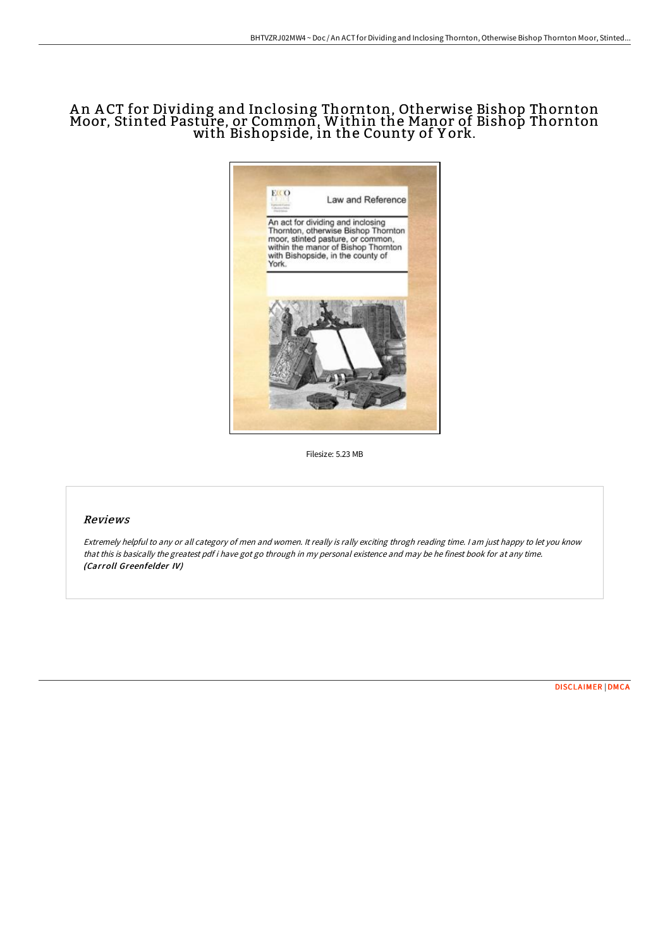# A n A CT for Dividing and Inclosing Thornton, Otherwise Bishop Thornton Moor, Stinted Pasture, or Common, Within the Manor of Bishop Thornton with Bishopside, in the County of Y ork.



Filesize: 5.23 MB

#### Reviews

Extremely helpful to any or all category of men and women. It really is rally exciting throgh reading time. <sup>I</sup> am just happy to let you know that this is basically the greatest pdf i have got go through in my personal existence and may be he finest book for at any time. (Carroll Greenfelder IV)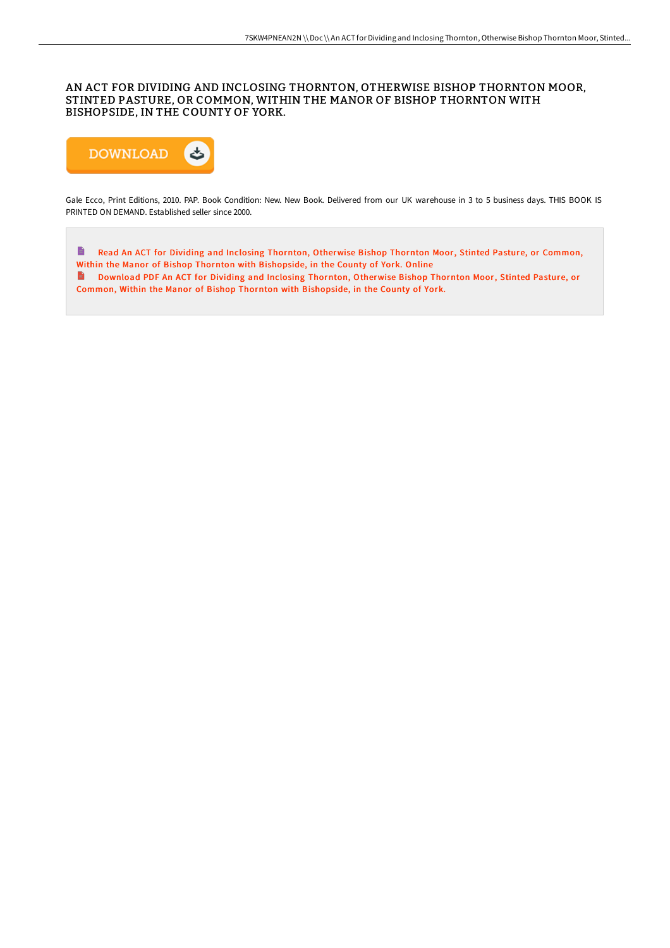### AN ACT FOR DIVIDING AND INCLOSING THORNTON, OTHERWISE BISHOP THORNTON MOOR, STINTED PASTURE, OR COMMON, WITHIN THE MANOR OF BISHOP THORNTON WITH BISHOPSIDE, IN THE COUNTY OF YORK.



Gale Ecco, Print Editions, 2010. PAP. Book Condition: New. New Book. Delivered from our UK warehouse in 3 to 5 business days. THIS BOOK IS PRINTED ON DEMAND. Established seller since 2000.

 $\blacksquare$ Read An ACT for Dividing and Inclosing Thornton, Otherwise Bishop Thornton Moor, Stinted Pasture, or Common, Within the Manor of Bishop Thornton with [Bishopside,](http://techno-pub.tech/an-act-for-dividing-and-inclosing-thornton-other.html) in the County of York. Online Download PDF An ACT for Dividing and Inclosing Thornton, Otherwise Bishop Thornton Moor, Stinted Pasture, or Common, Within the Manor of Bishop Thornton with [Bishopside,](http://techno-pub.tech/an-act-for-dividing-and-inclosing-thornton-other.html) in the County of York.